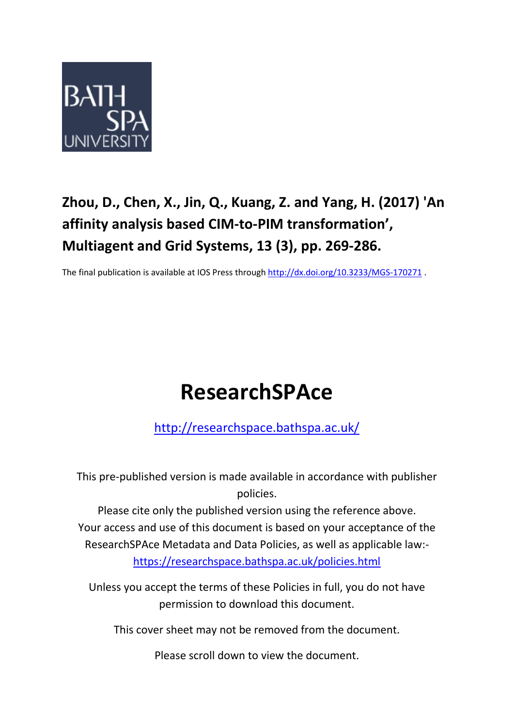

## **Zhou, D., Chen, X., Jin, Q., Kuang, Z. and Yang, H. (2017) 'An affinity analysis based CIM-to-PIM transformation' , Multiagent and Grid Systems, 13 (3), pp. 269-286.**

The final publication is available at IOS Press through <http://dx.doi.org/10.3233/MGS-170271> .

# **ResearchSPAce**

<http://researchspace.bathspa.ac.uk/>

This pre-published version is made available in accordance with publisher policies.

Please cite only the published version using the reference above. Your access and use of this document is based on your acceptance of the ResearchSPAce Metadata and Data Policies, as well as applicable law: https://researchspace.bathspa.ac.uk/policies.html

Unless you accept the terms of these Policies in full, you do not have permission to download this document.

This cover sheet may not be removed from the document.

Please scroll down to view the document.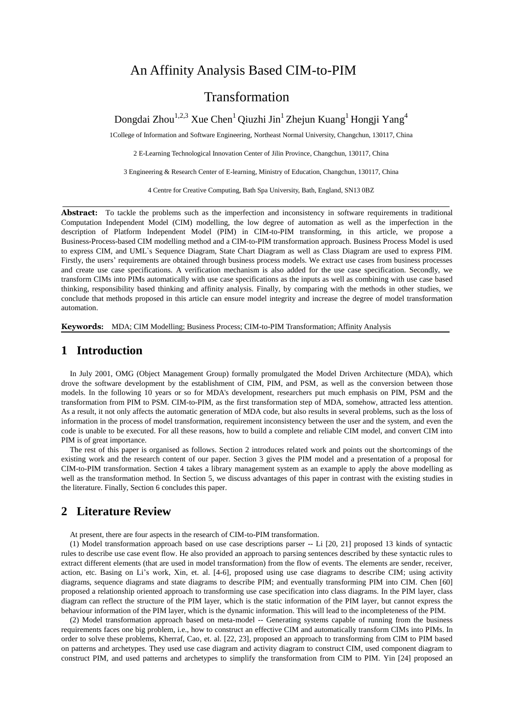## An Affinity Analysis Based CIM-to-PIM

## Transformation

Dongdai Zhou $^{1,2,3}$  Xue Chen $^1$  Qiuzhi Jin $^1$  Zhejun Kuang $^1$  Hongji Yang $^4$ 

1College of Information and Software Engineering, Northeast Normal University, Changchun, 130117, China

2 E-Learning Technological Innovation Center of Jilin Province, Changchun, 130117, China

3 Engineering & Research Center of E-learning, Ministry of Education, Changchun, 130117, China

4 Centre for Creative Computing, Bath Spa University, Bath, England, SN13 0BZ

**Abstract:** To tackle the problems such as the imperfection and inconsistency in software requirements in traditional Computation Independent Model (CIM) modelling, the low degree of automation as well as the imperfection in the description of Platform Independent Model (PIM) in CIM-to-PIM transforming, in this article, we propose a Business-Process-based CIM modelling method and a CIM-to-PIM transformation approach. Business Process Model is used to express CIM, and UML`s Sequence Diagram, State Chart Diagram as well as Class Diagram are used to express PIM. Firstly, the users' requirements are obtained through business process models. We extract use cases from business processes and create use case specifications. A verification mechanism is also added for the use case specification. Secondly, we transform CIMs into PIMs automatically with use case specifications as the inputs as well as combining with use case based thinking, responsibility based thinking and affinity analysis. Finally, by comparing with the methods in other studies, we conclude that methods proposed in this article can ensure model integrity and increase the degree of model transformation automation.

**Keywords:** MDA; CIM Modelling; Business Process; CIM-to-PIM Transformation; Affinity Analysis

## **1 Introduction**

In July 2001, OMG (Object Management Group) formally promulgated the Model Driven Architecture (MDA), which drove the software development by the establishment of CIM, PIM, and PSM, as well as the conversion between those models. In the following 10 years or so for MDA's development, researchers put much emphasis on PIM, PSM and the transformation from PIM to PSM. CIM-to-PIM, as the first transformation step of MDA, somehow, attracted less attention. As a result, it not only affects the automatic generation of MDA code, but also results in several problems, such as the loss of information in the process of model transformation, requirement inconsistency between the user and the system, and even the code is unable to be executed. For all these reasons, how to build a complete and reliable CIM model, and convert CIM into PIM is of great importance.

The rest of this paper is organised as follows. Section 2 introduces related work and points out the shortcomings of the existing work and the research content of our paper. Section 3 gives the PIM model and a presentation of a proposal for CIM-to-PIM transformation. Section 4 takes a library management system as an example to apply the above modelling as well as the transformation method. In Section 5, we discuss advantages of this paper in contrast with the existing studies in the literature. Finally, Section 6 concludes this paper.

## **2 Literature Review**

At present, there are four aspects in the research of CIM-to-PIM transformation.

(1) Model transformation approach based on use case descriptions parser -- Li [20, 21] proposed 13 kinds of syntactic rules to describe use case event flow. He also provided an approach to parsing sentences described by these syntactic rules to extract different elements (that are used in model transformation) from the flow of events. The elements are sender, receiver, action, etc. Basing on Li's work, Xin, et. al. [4-6], proposed using use case diagrams to describe CIM; using activity diagrams, sequence diagrams and state diagrams to describe PIM; and eventually transforming PIM into CIM. Chen [60] proposed a relationship oriented approach to transforming use case specification into class diagrams. In the PIM layer, class diagram can reflect the structure of the PIM layer, which is the static information of the PIM layer, but cannot express the behaviour information of the PIM layer, which is the dynamic information. This will lead to the incompleteness of the PIM.

(2) Model transformation approach based on meta-model -- Generating systems capable of running from the business requirements faces one big problem, i.e., how to construct an effective CIM and automatically transform CIMs into PIMs. In order to solve these problems, Kherraf, Cao, et. al. [22, 23], proposed an approach to transforming from CIM to PIM based on patterns and archetypes. They used use case diagram and activity diagram to construct CIM, used component diagram to construct PIM, and used patterns and archetypes to simplify the transformation from CIM to PIM. Yin [24] proposed an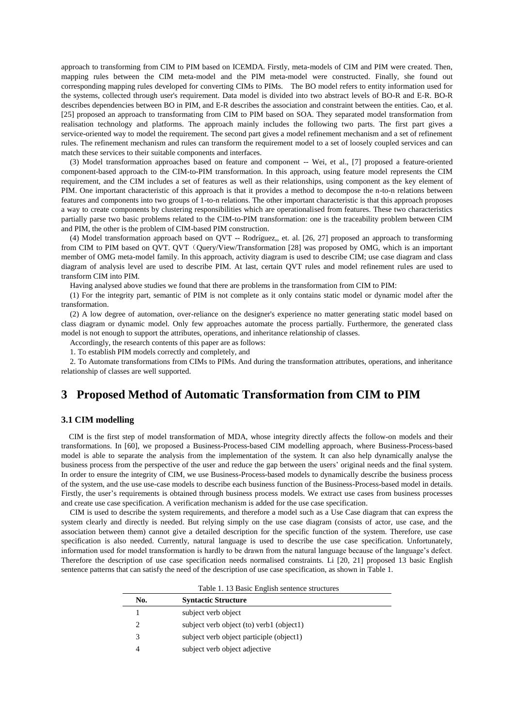approach to transforming from CIM to PIM based on ICEMDA. Firstly, meta-models of CIM and PIM were created. Then, mapping rules between the CIM meta-model and the PIM meta-model were constructed. Finally, she found out corresponding mapping rules developed for converting CIMs to PIMs. The BO model refers to entity information used for the systems, collected through user's requirement. Data model is divided into two abstract levels of BO-R and E-R. BO-R describes dependencies between BO in PIM, and E-R describes the association and constraint between the entities. Cao, et al. [25] proposed an approach to transformating from CIM to PIM based on SOA. They separated model transformation from realisation technology and platforms. The approach mainly includes the following two parts. The first part gives a service-oriented way to model the requirement. The second part gives a model refinement mechanism and a set of refinement rules. The refinement mechanism and rules can transform the requirement model to a set of loosely coupled services and can match these services to their suitable components and interfaces.

(3) Model transformation approaches based on feature and component -- Wei, et al., [7] proposed a feature-oriented component-based approach to the CIM-to-PIM transformation. In this approach, using feature model represents the CIM requirement, and the CIM includes a set of features as well as their relationships, using component as the key element of PIM. One important characteristic of this approach is that it provides a method to decompose the n-to-n relations between features and components into two groups of 1-to-n relations. The other important characteristic is that this approach proposes a way to create components by clustering responsibilities which are operationalised from features. These two characteristics partially parse two basic problems related to the CIM-to-PIM transformation: one is the traceability problem between CIM and PIM, the other is the problem of CIM-based PIM construction.

(4) Model transformation approach based on QVT -- Rodríguez,, et. al. [26, 27] proposed an approach to transforming from CIM to PIM based on QVT. QVT (Query/View/Transformation [28] was proposed by OMG, which is an important member of OMG meta-model family. In this approach, activity diagram is used to describe CIM; use case diagram and class diagram of analysis level are used to describe PIM. At last, certain QVT rules and model refinement rules are used to transform CIM into PIM.

Having analysed above studies we found that there are problems in the transformation from CIM to PIM:

(1) For the integrity part, semantic of PIM is not complete as it only contains static model or dynamic model after the transformation.

(2) A low degree of automation, over-reliance on the designer's experience no matter generating static model based on class diagram or dynamic model. Only few approaches automate the process partially. Furthermore, the generated class model is not enough to support the attributes, operations, and inheritance relationship of classes.

Accordingly, the research contents of this paper are as follows:

1. To establish PIM models correctly and completely, and

2. To Automate transformations from CIMs to PIMs. And during the transformation attributes, operations, and inheritance relationship of classes are well supported.

## **3 Proposed Method of Automatic Transformation from CIM to PIM**

#### **3.1 CIM modelling**

CIM is the first step of model transformation of MDA, whose integrity directly affects the follow-on models and their transformations. In [60], we proposed a Business-Process-based CIM modelling approach, where Business-Process-based model is able to separate the analysis from the implementation of the system. It can also help dynamically analyse the business process from the perspective of the user and reduce the gap between the users' original needs and the final system. In order to ensure the integrity of CIM, we use Business-Process-based models to dynamically describe the business process of the system, and the use use-case models to describe each business function of the Business-Process-based model in details. Firstly, the user's requirements is obtained through business process models. We extract use cases from business processes and create use case specification. A verification mechanism is added for the use case specification.

CIM is used to describe the system requirements, and therefore a model such as a Use Case diagram that can express the system clearly and directly is needed. But relying simply on the use case diagram (consists of actor, use case, and the association between them) cannot give a detailed description for the specific function of the system. Therefore, use case specification is also needed. Currently, natural language is used to describe the use case specification. Unfortunately, information used for model transformation is hardly to be drawn from the natural language because of the language's defect. Therefore the description of use case specification needs normalised constraints. Li [20, 21] proposed 13 basic English sentence patterns that can satisfy the need of the description of use case specification, as shown in Table 1.

| No. | <b>Syntactic Structure</b>               |  |
|-----|------------------------------------------|--|
|     | subject verb object                      |  |
|     | subject verb object (to) verb1 (object1) |  |
| 3   | subject verb object participle (object1) |  |
|     | subject verb object adjective            |  |

Table 1. 13 Basic English sentence structures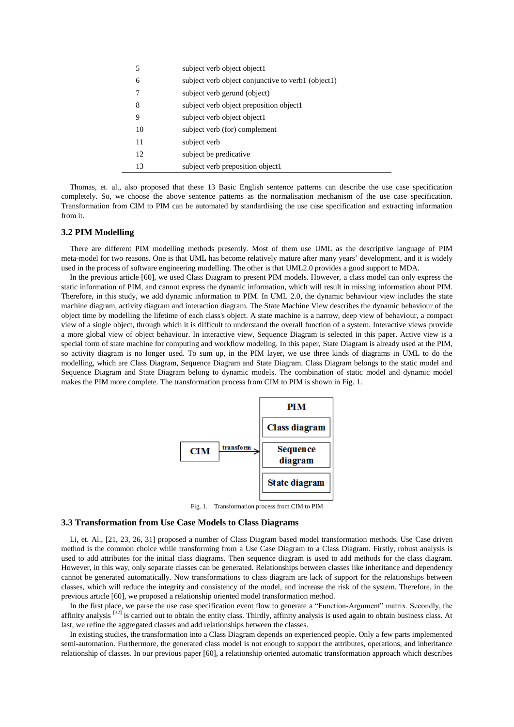| 5  | subject verb object object1                        |
|----|----------------------------------------------------|
| 6  | subject verb object conjunctive to verb1 (object1) |
| 7  | subject verb gerund (object)                       |
| 8  | subject verb object preposition object1            |
| 9  | subject verb object object1                        |
| 10 | subject verb (for) complement                      |
| 11 | subject verb                                       |
| 12 | subject be predicative.                            |
| 13 | subject verb preposition object1                   |

Thomas, et. al., also proposed that these 13 Basic English sentence patterns can describe the use case specification completely. So, we choose the above sentence patterns as the normalisation mechanism of the use case specification. Transformation from CIM to PIM can be automated by standardising the use case specification and extracting information from it.

#### **3.2 PIM Modelling**

There are different PIM modelling methods presently. Most of them use UML as the descriptive language of PIM meta-model for two reasons. One is that UML has become relatively mature after many years' development, and it is widely used in the process of software engineering modelling. The other is that UML2.0 provides a good support to MDA.

In the previous article [60], we used Class Diagram to present PIM models. However, a class model can only express the static information of PIM, and cannot express the dynamic information, which will result in missing information about PIM. Therefore, in this study, we add dynamic information to PIM. In UML 2.0, the dynamic behaviour view includes the state machine diagram, activity diagram and interaction diagram. The State Machine View describes the dynamic behaviour of the object time by modelling the lifetime of each class's object. A state machine is a narrow, deep view of behaviour, a compact view of a single object, through which it is difficult to understand the overall function of a system. Interactive views provide a more global view of object behaviour. In interactive view, Sequence Diagram is selected in this paper. Active view is a special form of state machine for computing and workflow modeling. In this paper, State Diagram is already used at the PIM, so activity diagram is no longer used. To sum up, in the PIM layer, we use three kinds of diagrams in UML to do the modelling, which are Class Diagram, Sequence Diagram and State Diagram. Class Diagram belongs to the static model and Sequence Diagram and State Diagram belong to dynamic models. The combination of static model and dynamic model makes the PIM more complete. The transformation process from CIM to PIM is shown in Fig. 1.



Fig. 1. Transformation process from CIM to PIM

#### **3.3 Transformation from Use Case Models to Class Diagrams**

Li, et. Al., [21, 23, 26, 31] proposed a number of Class Diagram based model transformation methods. Use Case driven method is the common choice while transforming from a Use Case Diagram to a Class Diagram. Firstly, robust analysis is used to add attributes for the initial class diagrams. Then sequence diagram is used to add methods for the class diagram. However, in this way, only separate classes can be generated. Relationships between classes like inheritance and dependency cannot be generated automatically. Now transformations to class diagram are lack of support for the relationships between classes, which will reduce the integrity and consistency of the model, and increase the risk of the system. Therefore, in the previous article [60], we proposed a relationship oriented model transformation method.

In the first place, we parse the use case specification event flow to generate a "Function-Argument" matrix. Secondly, the affinity analysis <sup>[32]</sup> is carried out to obtain the entity class. Thirdly, affinity analysis is used again to obtain business class. At last, we refine the aggregated classes and add relationships between the classes.

In existing studies, the transformation into a Class Diagram depends on experienced people. Only a few parts implemented semi-automation. Furthermore, the generated class model is not enough to support the attributes, operations, and inheritance relationship of classes. In our previous paper [60], a relationship oriented automatic transformation approach which describes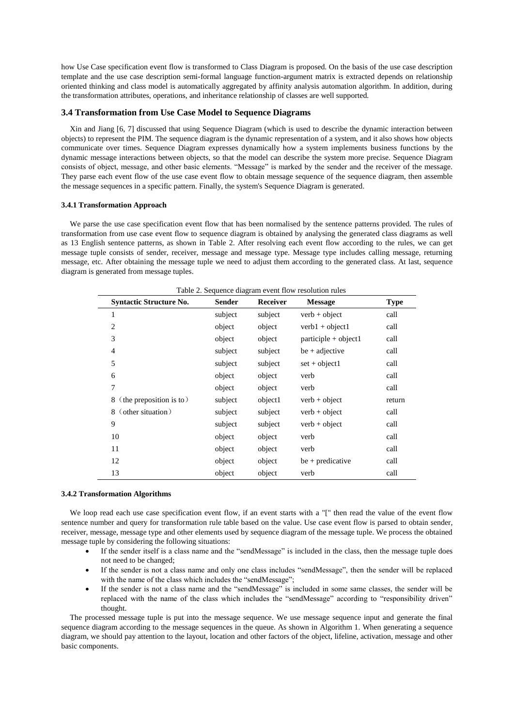how Use Case specification event flow is transformed to Class Diagram is proposed. On the basis of the use case description template and the use case description semi-formal language function-argument matrix is extracted depends on relationship oriented thinking and class model is automatically aggregated by affinity analysis automation algorithm. In addition, during the transformation attributes, operations, and inheritance relationship of classes are well supported.

#### **3.4 Transformation from Use Case Model to Sequence Diagrams**

Xin and Jiang [6, 7] discussed that using Sequence Diagram (which is used to describe the dynamic interaction between objects) to represent the PIM. The sequence diagram is the dynamic representation of a system, and it also shows how objects communicate over times. Sequence Diagram expresses dynamically how a system implements business functions by the dynamic message interactions between objects, so that the model can describe the system more precise. Sequence Diagram consists of object, message, and other basic elements. "Message" is marked by the sender and the receiver of the message. They parse each event flow of the use case event flow to obtain message sequence of the sequence diagram, then assemble the message sequences in a specific pattern. Finally, the system's Sequence Diagram is generated.

#### **3.4.1 Transformation Approach**

We parse the use case specification event flow that has been normalised by the sentence patterns provided. The rules of transformation from use case event flow to sequence diagram is obtained by analysing the generated class diagrams as well as 13 English sentence patterns, as shown in Table 2. After resolving each event flow according to the rules, we can get message tuple consists of sender, receiver, message and message type. Message type includes calling message, returning message, etc. After obtaining the message tuple we need to adjust them according to the generated class. At last, sequence diagram is generated from message tuples.

| <b>Syntactic Structure No.</b> | <b>Sender</b> | Receiver | <b>Message</b>         | <b>Type</b> |
|--------------------------------|---------------|----------|------------------------|-------------|
| 1                              | subject       | subject  | $verb + object$        | call        |
| 2                              | object        | object   | $verb1 + object1$      | call        |
| 3                              | object        | object   | $participle + object1$ | call        |
| $\overline{4}$                 | subject       | subject  | $be + adjective$       | call        |
| 5                              | subject       | subject  | $set + object1$        | call        |
| 6                              | object        | object   | verb                   | call        |
| 7                              | object        | object   | verb                   | call        |
| (the preposition is to)<br>8   | subject       | object1  | $verb + object$        | return      |
| (other situation)<br>8         | subject       | subject  | $verb + object$        | call        |
| 9                              | subject       | subject  | $verb + object$        | call        |
| 10                             | object        | object   | verb                   | call        |
| 11                             | object        | object   | verb                   | call        |
| 12                             | object        | object   | $be + predictive$      | call        |
| 13                             | object        | object   | verb                   | call        |

Table 2. Sequence diagram event flow resolution rules

#### **3.4.2 Transformation Algorithms**

We loop read each use case specification event flow, if an event starts with a "[" then read the value of the event flow sentence number and query for transformation rule table based on the value. Use case event flow is parsed to obtain sender, receiver, message, message type and other elements used by sequence diagram of the message tuple. We process the obtained message tuple by considering the following situations:

- If the sender itself is a class name and the "sendMessage" is included in the class, then the message tuple does not need to be changed;
- If the sender is not a class name and only one class includes "sendMessage", then the sender will be replaced with the name of the class which includes the "sendMessage";
- If the sender is not a class name and the "sendMessage" is included in some same classes, the sender will be replaced with the name of the class which includes the "sendMessage" according to "responsibility driven" thought.

The processed message tuple is put into the message sequence. We use message sequence input and generate the final sequence diagram according to the message sequences in the queue. As shown in Algorithm 1. When generating a sequence diagram, we should pay attention to the layout, location and other factors of the object, lifeline, activation, message and other basic components.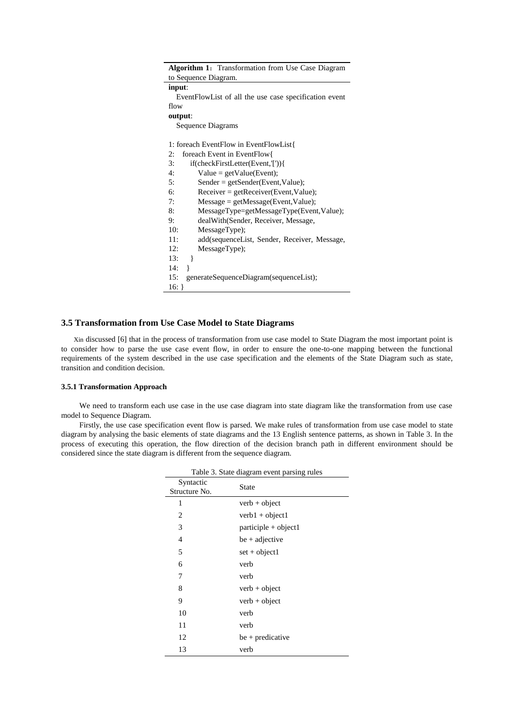| <b>Algorithm 1:</b> Transformation from Use Case Diagram |  |  |  |  |
|----------------------------------------------------------|--|--|--|--|
| to Sequence Diagram.                                     |  |  |  |  |
| input:                                                   |  |  |  |  |
| EventFlowList of all the use case specification event    |  |  |  |  |
| flow                                                     |  |  |  |  |
| output:                                                  |  |  |  |  |
| Sequence Diagrams                                        |  |  |  |  |
|                                                          |  |  |  |  |
| 1: foreach EventFlow in EventFlowList{                   |  |  |  |  |
| foreach Event in EventFlow{<br>2:                        |  |  |  |  |
| 3:<br>if(checkFirstLetter(Event,'[')){                   |  |  |  |  |
| 4:<br>$Value = getValue(Event);$                         |  |  |  |  |
| 5:<br>$Sender = getSender(Event, Value);$                |  |  |  |  |
| 6:<br>$Receiver = getReceiver(Event, Value);$            |  |  |  |  |
| 7:<br>$Message = getMessage(Event, Value);$              |  |  |  |  |
| 8:<br>MessageType=getMessageType(Event,Value);           |  |  |  |  |
| 9:<br>dealWith (Sender, Receiver, Message,               |  |  |  |  |
| 10:<br>MessageType);                                     |  |  |  |  |
| 11:<br>add(sequenceList, Sender, Receiver, Message,      |  |  |  |  |
| MessageType);<br>12:                                     |  |  |  |  |
| 13:<br>}                                                 |  |  |  |  |
| 14:                                                      |  |  |  |  |
| generateSequenceDiagram(sequenceList);<br>15:            |  |  |  |  |
| $16:$ }                                                  |  |  |  |  |

#### **3.5 Transformation from Use Case Model to State Diagrams**

Xin discussed [6] that in the process of transformation from use case model to State Diagram the most important point is to consider how to parse the use case event flow, in order to ensure the one-to-one mapping between the functional requirements of the system described in the use case specification and the elements of the State Diagram such as state, transition and condition decision.

#### **3.5.1 Transformation Approach**

We need to transform each use case in the use case diagram into state diagram like the transformation from use case model to Sequence Diagram.

Firstly, the use case specification event flow is parsed. We make rules of transformation from use case model to state diagram by analysing the basic elements of state diagrams and the 13 English sentence patterns, as shown in Table 3. In the process of executing this operation, the flow direction of the decision branch path in different environment should be considered since the state diagram is different from the sequence diagram.

| Table 3. State diagram event parsing rules |                        |  |  |
|--------------------------------------------|------------------------|--|--|
| Syntactic<br>Structure No.                 | <b>State</b>           |  |  |
| 1                                          | $verb + object$        |  |  |
| 2                                          | $verb1 + object1$      |  |  |
| 3                                          | $participle + object1$ |  |  |
| $\overline{4}$                             | $be + adjective$       |  |  |
| 5                                          | $set + object1$        |  |  |
| 6                                          | verb                   |  |  |
| 7                                          | verb                   |  |  |
| 8                                          | $verb + object$        |  |  |
| 9                                          | $verb + object$        |  |  |
| 10                                         | verb                   |  |  |
| 11                                         | verb                   |  |  |
| 12                                         | $be + predictive$      |  |  |
| 13                                         | verb                   |  |  |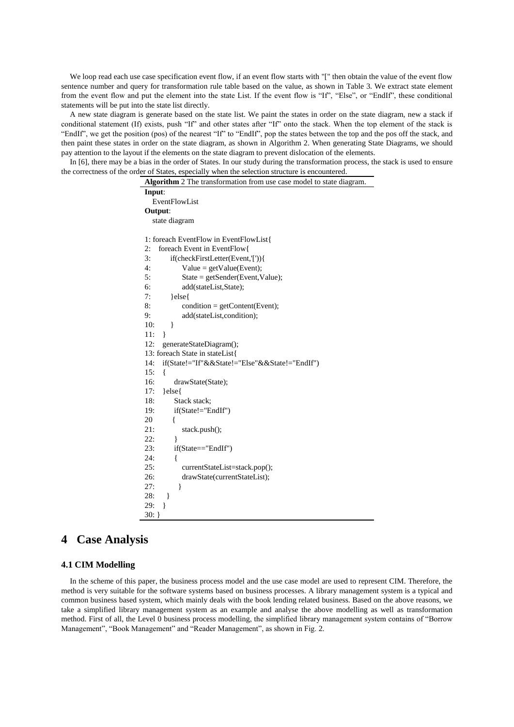We loop read each use case specification event flow, if an event flow starts with "[" then obtain the value of the event flow sentence number and query for transformation rule table based on the value, as shown in Table 3. We extract state element from the event flow and put the element into the state List. If the event flow is "If", "Else", or "EndIf", these conditional statements will be put into the state list directly.

A new state diagram is generate based on the state list. We paint the states in order on the state diagram, new a stack if conditional statement (If) exists, push "If" and other states after "If" onto the stack. When the top element of the stack is "EndIf", we get the position (pos) of the nearest "If" to "EndIf", pop the states between the top and the pos off the stack, and then paint these states in order on the state diagram, as shown in Algorithm 2. When generating State Diagrams, we should pay attention to the layout if the elements on the state diagram to prevent dislocation of the elements.

In [6], there may be a bias in the order of States. In our study during the transformation process, the stack is used to ensure the correctness of the order of States, especially when the selection structure is encountered.

| Algorithm 2 The transformation from use case model to state diagram. |  |  |  |  |
|----------------------------------------------------------------------|--|--|--|--|
| Input:                                                               |  |  |  |  |
| EventFlowList                                                        |  |  |  |  |
| Output:                                                              |  |  |  |  |
| state diagram                                                        |  |  |  |  |
|                                                                      |  |  |  |  |
| 1: foreach EventFlow in EventFlowList{                               |  |  |  |  |
| foreach Event in EventFlow{<br>2:                                    |  |  |  |  |
| 3:<br>if(checkFirstLetter(Event,'[')){                               |  |  |  |  |
| 4:<br>$Value = getValue(Event);$                                     |  |  |  |  |
| 5:<br>$State = getSender(Event, Value);$                             |  |  |  |  |
| 6:<br>add(stateList,State);                                          |  |  |  |  |
| 7:<br>}else{                                                         |  |  |  |  |
| 8:<br>$condition = getContent(Event);$                               |  |  |  |  |
| add(stateList,condition);<br>9:                                      |  |  |  |  |
| 10:<br>}                                                             |  |  |  |  |
| 11:<br>ł                                                             |  |  |  |  |
| 12:<br>generateStateDiagram();                                       |  |  |  |  |
| 13: foreach State in stateList{                                      |  |  |  |  |
| if(State!="If"&&State!="Else"&&State!="EndIf")<br>14:                |  |  |  |  |
| 15:<br>ł                                                             |  |  |  |  |
| 16:<br>drawState(State);                                             |  |  |  |  |
| 17:<br>}else{                                                        |  |  |  |  |
| Stack stack;<br>18:                                                  |  |  |  |  |
| if(State!="EndIf")<br>19:                                            |  |  |  |  |
| 20<br>ſ                                                              |  |  |  |  |
| 21:<br>stack.push();                                                 |  |  |  |  |
| 22:<br>}                                                             |  |  |  |  |
| 23:<br>if(State=="EndIf")                                            |  |  |  |  |
| 24:<br>$\{$                                                          |  |  |  |  |
| 25:<br>currentStateList=stack.pop();                                 |  |  |  |  |
| 26:<br>drawState(currentStateList);                                  |  |  |  |  |
| 27:                                                                  |  |  |  |  |
| 28:<br>}                                                             |  |  |  |  |
| 29:<br>ł                                                             |  |  |  |  |
| $30:$ }                                                              |  |  |  |  |

## **4 Case Analysis**

#### **4.1 CIM Modelling**

In the scheme of this paper, the business process model and the use case model are used to represent CIM. Therefore, the method is very suitable for the software systems based on business processes. A library management system is a typical and common business based system, which mainly deals with the book lending related business. Based on the above reasons, we take a simplified library management system as an example and analyse the above modelling as well as transformation method. First of all, the Level 0 business process modelling, the simplified library management system contains of "Borrow Management", "Book Management" and "Reader Management", as shown in Fig. 2.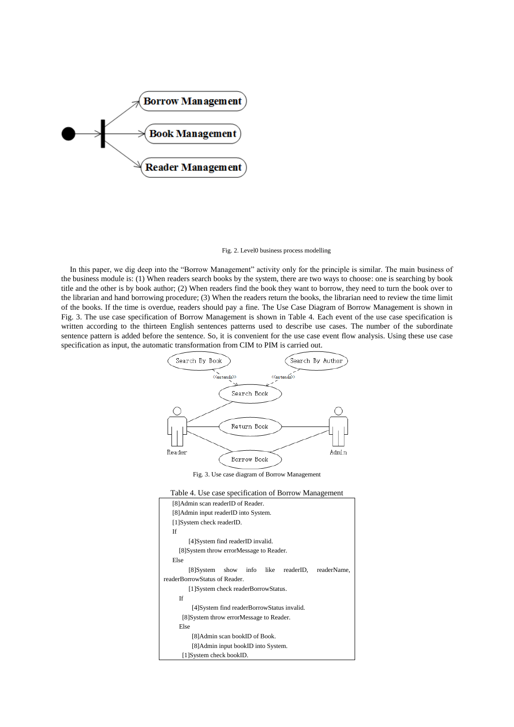

#### Fig. 2. Level0 business process modelling

In this paper, we dig deep into the "Borrow Management" activity only for the principle is similar. The main business of the business module is: (1) When readers search books by the system, there are two ways to choose: one is searching by book title and the other is by book author; (2) When readers find the book they want to borrow, they need to turn the book over to the librarian and hand borrowing procedure; (3) When the readers return the books, the librarian need to review the time limit of the books. If the time is overdue, readers should pay a fine. The Use Case Diagram of Borrow Management is shown in Fig. 3. The use case specification of Borrow Management is shown in Table 4. Each event of the use case specification is written according to the thirteen English sentences patterns used to describe use cases. The number of the subordinate sentence pattern is added before the sentence. So, it is convenient for the use case event flow analysis. Using these use case specification as input, the automatic transformation from CIM to PIM is carried out.



Fig. 3. Use case diagram of Borrow Management



| [8] Admin scan reader ID of Reader.                   |  |  |  |  |  |
|-------------------------------------------------------|--|--|--|--|--|
| [8] Admin input reader ID into System.                |  |  |  |  |  |
| [1] System check readerID.                            |  |  |  |  |  |
| If                                                    |  |  |  |  |  |
| [4] System find reader ID invalid.                    |  |  |  |  |  |
| [8] System throw error Message to Reader.             |  |  |  |  |  |
| Else                                                  |  |  |  |  |  |
| [8] System show info<br>like<br>readerID, readerName, |  |  |  |  |  |
| readerBorrowStatus of Reader.                         |  |  |  |  |  |
| [1] System check reader Borrow Status.                |  |  |  |  |  |
| <b>If</b>                                             |  |  |  |  |  |
| [4] System find reader Borrow Status invalid.         |  |  |  |  |  |
| [8] System throw error Message to Reader.             |  |  |  |  |  |
| Else                                                  |  |  |  |  |  |
| [8] Admin scan bookID of Book.                        |  |  |  |  |  |
| [8] Admin input bookID into System.                   |  |  |  |  |  |
| [1] System check bookID.                              |  |  |  |  |  |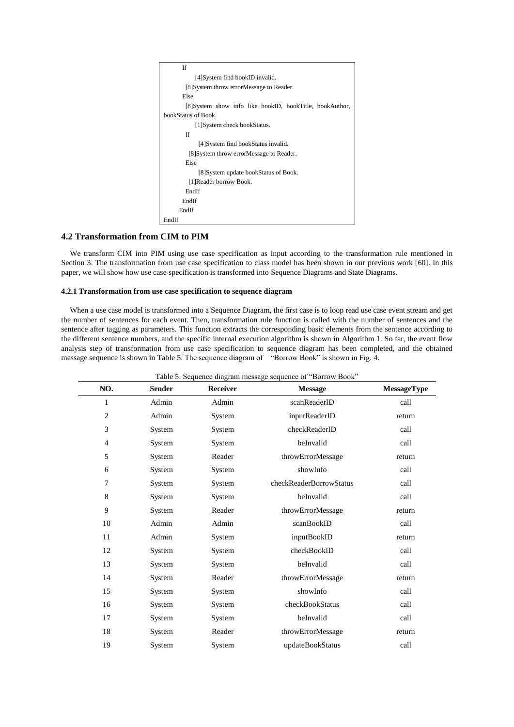```
 If 
             [4]System find bookID invalid. 
         [8]System throw errorMessage to Reader. 
        Else 
         [8]System show info like bookID, bookTitle, bookAuthor, 
bookStatus of Book. 
            [1]System check bookStatus.
         If 
              [4]System find bookStatus invalid. 
          [8]System throw errorMessage to Reader. 
         Else 
              [8]System update bookStatus of Book. 
          [1]Reader borrow Book. 
         EndIf 
        EndIf 
       EndIf 
EndIf
```
#### **4.2 Transformation from CIM to PIM**

 $\overline{\phantom{a}}$ 

We transform CIM into PIM using use case specification as input according to the transformation rule mentioned in Section 3. The transformation from use case specification to class model has been shown in our previous work [60]. In this paper, we will show how use case specification is transformed into Sequence Diagrams and State Diagrams.

#### **4.2.1 Transformation from use case specification to sequence diagram**

When a use case model is transformed into a Sequence Diagram, the first case is to loop read use case event stream and get the number of sentences for each event. Then, transformation rule function is called with the number of sentences and the sentence after tagging as parameters. This function extracts the corresponding basic elements from the sentence according to the different sentence numbers, and the specific internal execution algorithm is shown in Algorithm 1. So far, the event flow analysis step of transformation from use case specification to sequence diagram has been completed, and the obtained message sequence is shown in Table 5. The sequence diagram of "Borrow Book" is shown in Fig. 4.

| NO.            | <b>Sender</b> | Receiver | <b>Message</b>          | MessageType |
|----------------|---------------|----------|-------------------------|-------------|
| $\mathbf{1}$   | Admin         | Admin    | scanReaderID            | call        |
| $\overline{2}$ | Admin         | System   | inputReaderID           | return      |
| 3              | System        | System   | checkReaderID           | call        |
| 4              | System        | System   | beInvalid               | call        |
| 5              | System        | Reader   | throwErrorMessage       | return      |
| 6              | System        | System   | showInfo                | call        |
| 7              | System        | System   | checkReaderBorrowStatus | call        |
| 8              | System        | System   | beInvalid               | call        |
| 9              | System        | Reader   | throwErrorMessage       | return      |
| 10             | Admin         | Admin    | scanBookID              | call        |
| 11             | Admin         | System   | inputBookID             | return      |
| 12             | System        | System   | checkBookID             | call        |
| 13             | System        | System   | beInvalid               | call        |
| 14             | System        | Reader   | throwErrorMessage       | return      |
| 15             | System        | System   | showInfo                | call        |
| 16             | System        | System   | checkBookStatus         | call        |
| 17             | System        | System   | beInvalid               | call        |
| 18             | System        | Reader   | throwErrorMessage       | return      |
| 19             | System        | System   | updateBookStatus        | call        |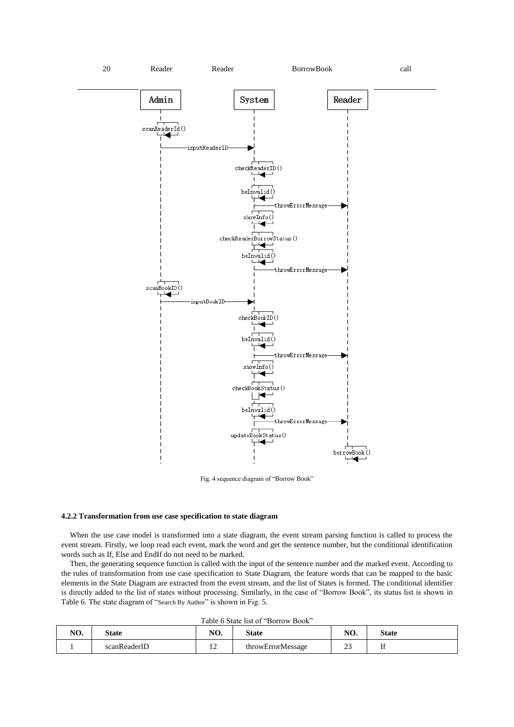

Fig. 4 sequence diagram of "Borrow Book"

#### **4.2.2 Transformation from use case specification to state diagram**

When the use case model is transformed into a state diagram, the event stream parsing function is called to process the event stream. Firstly, we loop read each event, mark the word and get the sentence number, but the conditional identification words such as If, Else and EndIf do not need to be marked.

Then, the generating sequence function is called with the input of the sentence number and the marked event. According to the rules of transformation from use case specification to State Diagram, the feature words that can be mapped to the basic elements in the State Diagram are extracted from the event stream, and the list of States is formed. The conditional identifier is directly added to the list of states without processing. Similarly, in the case of "Borrow Book", its status list is shown in Table 6. The state diagram of "Search By Author" is shown in Fig. 5.

Table 6 State list of "Borrow Book"

| NO. | State        | $\mathbf{M}$<br>IV. | State             | <b>ALO</b><br>NU.            | State   |
|-----|--------------|---------------------|-------------------|------------------------------|---------|
|     | scanReaderID | $\overline{ }$      | throwErrorMessage | $\sim$<br><u>.</u><br>$\sim$ | $-$<br> |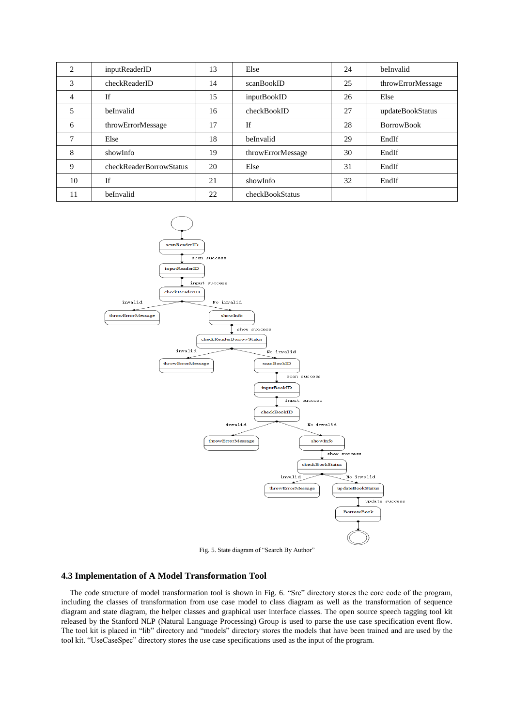| 2             | inputReaderID           | 13 | Else              | 24 | beInvalid         |
|---------------|-------------------------|----|-------------------|----|-------------------|
| 3             | checkReaderID           | 14 | scanBookID        | 25 | throwErrorMessage |
| 4             | <b>If</b>               | 15 | inputBookID       | 26 | Else              |
| 5             | beInvalid               | 16 | checkBookID       | 27 | updateBookStatus  |
| 6             | throwErrorMessage       | 17 | If                | 28 | <b>BorrowBook</b> |
| $\mathcal{I}$ | Else                    | 18 | beInvalid         | 29 | EndIf             |
| 8             | showInfo                | 19 | throwErrorMessage | 30 | EndIf             |
| 9             | checkReaderBorrowStatus | 20 | Else              | 31 | EndIf             |
| 10            | <b>If</b>               | 21 | showInfo          | 32 | EndIf             |
| 11            | beInvalid               | 22 | checkBookStatus   |    |                   |



Fig. 5. State diagram of "Search By Author"

#### **4.3 Implementation of A Model Transformation Tool**

The code structure of model transformation tool is shown in Fig. 6. "Src" directory stores the core code of the program, including the classes of transformation from use case model to class diagram as well as the transformation of sequence diagram and state diagram, the helper classes and graphical user interface classes. The open source speech tagging tool kit released by the Stanford NLP (Natural Language Processing) Group is used to parse the use case specification event flow. The tool kit is placed in "lib" directory and "models" directory stores the models that have been trained and are used by the tool kit. "UseCaseSpec" directory stores the use case specifications used as the input of the program.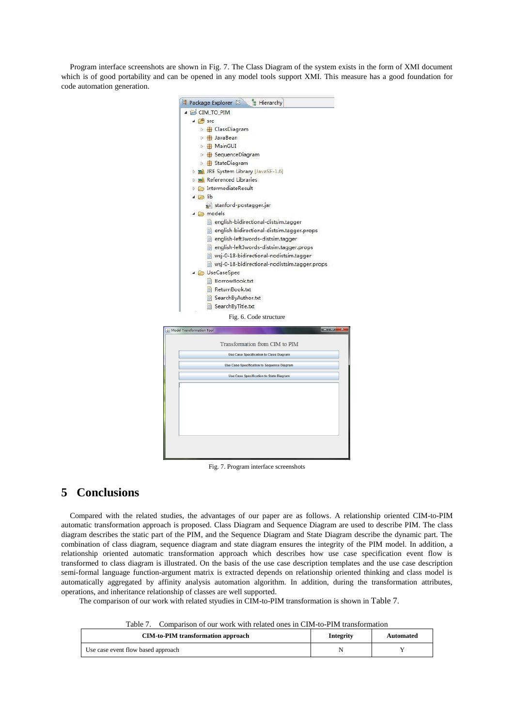Program interface screenshots are shown in Fig. 7. The Class Diagram of the system exists in the form of XMI document which is of good portability and can be opened in any model tools support XMI. This measure has a good foundation for code automation generation.



Fig. 7. Program interface screenshots

## **5 Conclusions**

Compared with the related studies, the advantages of our paper are as follows. A relationship oriented CIM-to-PIM automatic transformation approach is proposed. Class Diagram and Sequence Diagram are used to describe PIM. The class diagram describes the static part of the PIM, and the Sequence Diagram and State Diagram describe the dynamic part. The combination of class diagram, sequence diagram and state diagram ensures the integrity of the PIM model. In addition, a relationship oriented automatic transformation approach which describes how use case specification event flow is transformed to class diagram is illustrated. On the basis of the use case description templates and the use case description semi-formal language function-argument matrix is extracted depends on relationship oriented thinking and class model is automatically aggregated by affinity analysis automation algorithm. In addition, during the transformation attributes, operations, and inheritance relationship of classes are well supported.

The comparison of our work with related styudies in CIM-to-PIM transformation is shown in Table 7.

Table 7. Comparison of our work with related ones in CIM-to-PIM transformation

| <b>CIM-to-PIM</b> transformation approach | Integrity | Automated |  |
|-------------------------------------------|-----------|-----------|--|
| Use case event flow based approach        |           |           |  |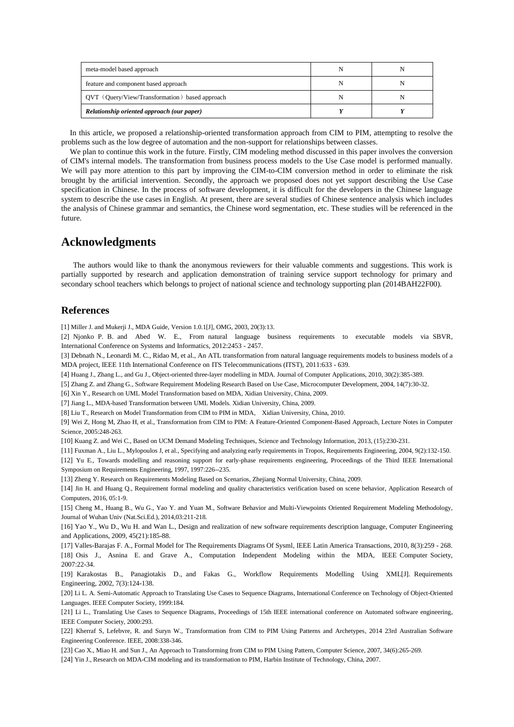| meta-model based approach                      |  |
|------------------------------------------------|--|
| feature and component based approach           |  |
| QVT (Query/View/Transformation) based approach |  |
| Relationship oriented approach (our paper)     |  |

In this article, we proposed a relationship-oriented transformation approach from CIM to PIM, attempting to resolve the problems such as the low degree of automation and the non-support for relationships between classes.

We plan to continue this work in the future. Firstly, CIM modeling method discussed in this paper involves the conversion of CIM's internal models. The transformation from business process models to the Use Case model is performed manually. We will pay more attention to this part by improving the CIM-to-CIM conversion method in order to eliminate the risk brought by the artificial intervention. Secondly, the approach we proposed does not yet support describing the Use Case specification in Chinese. In the process of software development, it is difficult for the developers in the Chinese language system to describe the use cases in English. At present, there are several studies of Chinese sentence analysis which includes the analysis of Chinese grammar and semantics, the Chinese word segmentation, etc. These studies will be referenced in the future.

## **Acknowledgments**

The authors would like to thank the anonymous reviewers for their valuable comments and suggestions. This work is partially supported by research and application demonstration of training service support technology for primary and secondary school teachers which belongs to project of national science and technology supporting plan (2014BAH22F00).

### **References**

[1] Miller J. and Mukerji J., MDA Guide, Version 1.0.1[J], OMG, 2003, 20(3):13.

[2] Njonko P. B. and Abed W. E., From natural language business requirements to executable models via SBVR, International Conference on Systems and Informatics, 2012:2453 - 2457.

[3] Debnath N., Leonardi M. C., Ridao M, et al., An ATL transformation from natural language requirements models to business models of a MDA project, IEEE 11th International Conference on ITS Telecommunications (ITST), 2011:633 - 639.

[4] Huang J., Zhang L., and Gu J., Object-oriented three-layer modelling in MDA. Journal of Computer Applications, 2010, 30(2):385-389.

[5] Zhang Z. and Zhang G., Software Requirement Modeling Research Based on Use Case, Microcomputer Development, 2004, 14(7):30-32.

[6] Xin Y., Research on UML Model Transformation based on MDA, Xidian University, China, 2009.

[7] Jiang L., MDA-based Transformation between UML Models. Xidian University, China, 2009.

[8] Liu T., Research on Model Transformation from CIM to PIM in MDA, Xidian University, China, 2010.

[9] Wei Z, Hong M, Zhao H, et al., Transformation from CIM to PIM: A Feature-Oriented Component-Based Approach, Lecture Notes in Computer Science, 2005:248-263.

[10] Kuang Z. and Wei C., Based on UCM Demand Modeling Techniques, Science and Technology Information, 2013, (15):230-231.

[11] Fuxman A., Liu L., Mylopoulos J, et al., Specifying and analyzing early requirements in Tropos, Requirements Engineering, 2004, 9(2):132-150. [12] Yu E., Towards modelling and reasoning support for early-phase requirements engineering, Proceedings of the Third IEEE International Symposium on Requirements Engineering, 1997, 1997:226--235.

[13] Zheng Y. Research on Requirements Modeling Based on Scenarios, Zhejiang Normal University, China, 2009.

[14] Jin H. and Huang Q., Requirement formal modeling and quality characteristics verification based on scene behavior, Application Research of Computers, 2016, 05:1-9.

[15] Cheng M., Huang B., Wu G., Yao Y. and Yuan M., Software Behavior and Multi-Viewpoints Oriented Requirement Modeling Methodology, Journal of Wuhan Univ (Nat.Sci.Ed.), 2014,03:211-218.

[16] Yao Y., Wu D., Wu H. and Wan L., Design and realization of new software requirements description language, Computer Engineering and Applications, 2009, 45(21):185-88.

[17] Valles-Barajas F. A., Formal Model for The Requirements Diagrams Of Sysml, IEEE Latin America Transactions, 2010, 8(3):259 - 268. [18] Osis J., Asnina E. and Grave A., Computation Independent Modeling within the MDA, IEEE Computer Society, 2007:22-34.

[19] Karakostas B., Panagiotakis D., and Fakas G., Workflow Requirements Modelling Using XML[J]. Requirements Engineering, 2002, 7(3):124-138.

[20] Li L. A. Semi-Automatic Approach to Translating Use Cases to Sequence Diagrams, International Conference on Technology of Object-Oriented Languages. IEEE Computer Society, 1999:184.

[21] Li L., Translating Use Cases to Sequence Diagrams, Proceedings of 15th IEEE international conference on Automated software engineering, IEEE Computer Society, 2000:293.

[22] Kherraf S, Lefebvre, R. and Suryn W., Transformation from CIM to PIM Using Patterns and Archetypes, 2014 23rd Australian Software Engineering Conference. IEEE, 2008:338-346.

[23] Cao X., Miao H. and Sun J., An Approach to Transforming from CIM to PIM Using Pattern, Computer Science, 2007, 34(6):265-269.

[24] Yin J., Research on MDA-CIM modeling and its transformation to PIM, Harbin Institute of Technology, China, 2007.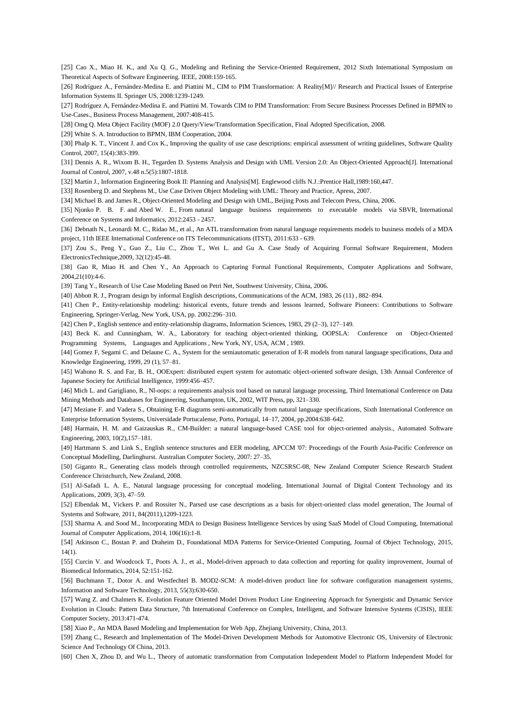[25] Cao X., Miao H. K., and Xu Q. G., Modeling and Refining the Service-Oriented Requirement, 2012 Sixth International Symposium on Theoretical Aspects of Software Engineering. IEEE, 2008:159-165.

[26] Rodríguez A., Fernández-Medina E. and Piattini M., CIM to PIM Transformation: A Reality[M]// Research and Practical Issues of Enterprise Information Systems II. Springer US, 2008:1239-1249.

[27] Rodríguez A, Fernández-Medina E. and Piattini M. Towards CIM to PIM Transformation: From Secure Business Processes Defined in BPMN to Use-Cases., Business Process Management, 2007:408-415.

[28] Omg Q. Meta Object Facility (MOF) 2.0 Query/View/Transformation Specification, Final Adopted Specification, 2008.

[29] White S. A. Introduction to BPMN, IBM Cooperation, 2004.

[30] Phalp K. T., Vincent J. and Cox K., Improving the quality of use case descriptions: empirical assessment of writing guidelines, Software Quality Control, 2007, 15(4):383-399.

[31] Dennis A. R., Wixom B. H., Tegarden D. Systems Analysis and Design with UML Version 2.0: An Object-Oriented Approach[J]. International Journal of Control, 2007, v.48 n.5(5):1807-1818.

[32] Martin J., Information Engineering Book II: Planning and Analysis[M]. Englewood cliffs N.J.:Prentice Hall,1989:160,447.

[33] Rosenberg D. and Stephens M., Use Case Driven Object Modeling with UML: Theory and Practice, Apress, 2007.

[34] Michael B. and James R., Object-Oriented Modeling and Design with UML, Beijing Posts and Telecom Press, China, 2006.

[35] Njonko P. B. F. and Abed W. E., From natural language business requirements to executable models via SBVR, International Conference on Systems and Informatics, 2012:2453 - 2457.

[36] Debnath N., Leonardi M. C., Ridao M., et al., An ATL transformation from natural language requirements models to business models of a MDA project, 11th IEEE International Conference on ITS Telecommunications (ITST), 2011:633 - 639.

[37] Zou S., Peng Y., Guo Z., Liu C., Zhou T., Wei L. and Gu A. Case Study of Acquiring Formal Software Requirement, Modern ElectronicsTechnique,2009, 32(12):45-48.

[38] Gao R, Miao H. and Chen Y., An Approach to Capturing Formal Functional Requirements, Computer Applications and Software, 2004,21(10):4-6.

[39] Tang Y., Research of Use Case Modeling Based on Petri Net, Southwest University, China, 2006.

[40] Abbott R. J., Program design by informal English descriptions, Communications of the ACM, 1983, 26 (11) , 882–894.

[41] Chen P., Entity-relationship modeling: historical events, future trends and lessons learned, Software Pioneers: Contributions to Software Engineering, Springer-Verlag, New York, USA, pp. 2002:296–310.

[42] Chen P., English sentence and entity-relationship diagrams, Information Sciences, 1983, 29 (2–3), 127–149.

[43] Beck K. and Cunningham, W. A., Laboratory for teaching object-oriented thinking, OOPSLA: Conference on Object-Oriented Programming Systems, Languages and Applications , New York, NY, USA, ACM , 1989.

[44] Gomez F, Segami C. and Delaune C. A., System for the semiautomatic generation of E-R models from natural language specifications, Data and Knowledge Engineering, 1999, 29 (1), 57–81.

[45] Wahono R. S. and Far, B. H., OOExpert: distributed expert system for automatic object-oriented software design, 13th Annual Conference of Japanese Society for Artificial Intelligence, 1999:456–457.

[46] Mich L. and Garigliano, R., Nl-oops: a requirements analysis tool based on natural language processing, Third International Conference on Data Mining Methods and Databases for Engineering, Southampton, UK, 2002, WIT Press, pp, 321–330.

[47] Meziane F. and Vadera S., Obtaining E-R diagrams semi-automatically from natural language specifications, Sixth International Conference on Enterprise Information Systems, Universidade Portucalense, Porto, Portugal, 14–17, 2004, pp.2004:638–642.

[48] Harmain, H. M. and Gaizauskas R., CM-Builder: a natural language-based CASE tool for object-oriented analysis., Automated Software Engineering, 2003, 10(2),157–181.

[49] Hartmann S. and Link S., English sentence structures and EER modeling, APCCM '07: Proceedings of the Fourth Asia-Pacific Conference on Conceptual Modelling, Darlinghurst. Australian Computer Society, 2007: 27–35.

[50] Giganto R., Generating class models through controlled requirements, NZCSRSC-08, New Zealand Computer Science Research Student Conference Christchurch, New Zealand, 2008.

[51] Al-Safadi L. A. E., Natural language processing for conceptual modeling. International Journal of Digital Content Technology and its Applications, 2009, 3(3), 47–59.

[52] Elbendak M., Vickers P. and Rossiter N., Parsed use case descriptions as a basis for object-oriented class model generation, The Journal of Systems and Software, 2011, 84(2011),1209-1223.

[53] Sharma A. and Sood M., Incorporating MDA to Design Business Intelligence Services by using SaaS Model of Cloud Computing, International Journal of Computer Applications, 2014, 106(16):1-8.

[54] Atkinson C., Bostan P. and Draheim D., Foundational MDA Patterns for Service-Oriented Computing, Journal of Object Technology, 2015,  $14(1)$ .

[55] Curcin V. and Woodcock T., Poots A. J., et al., Model-driven approach to data collection and reporting for quality improvement, Journal of Biomedical Informatics, 2014, 52:151-162.

[56] Buchmann T., Dotor A. and Westfechtel B. MOD2-SCM: A model-driven product line for software configuration management systems, Information and Software Technology, 2013, 55(3):630-650.

[57] Wang Z. and Chalmers K. Evolution Feature Oriented Model Driven Product Line Engineering Approach for Synergistic and Dynamic Service Evolution in Clouds: Pattern Data Structure, 7th International Conference on Complex, Intelligent, and Software Intensive Systems (CISIS), IEEE Computer Society, 2013:471-474.

[58] Xiao P., An MDA Based Modeling and Implementation for Web App, Zhejiang University, China, 2013.

[59] Zhang C., Research and Implementation of The Model-Driven Development Methods for Automotive Electronic OS, University of Electronic Science And Technology Of China, 2013.

[60] Chen X, Zhou D, and Wu L., Theory of automatic transformation from Computation Independent Model to Platform Independent Model for